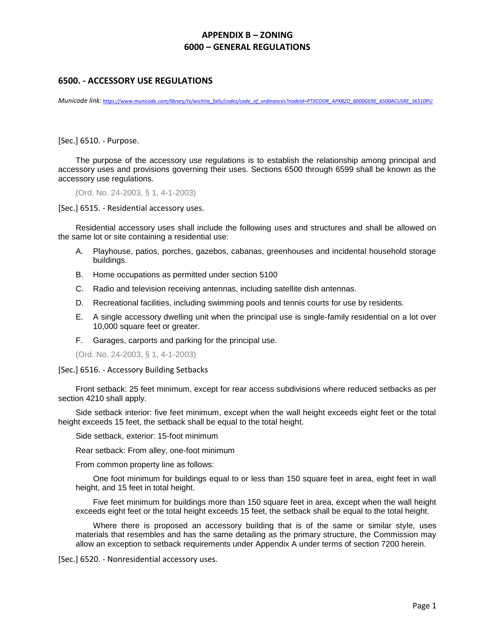## **APPENDIX B – ZONING 6000 – GENERAL REGULATIONS**

## **6500. - ACCESSORY USE REGULATIONS**

*Municode link: [https://www.municode.com/library/tx/wichita\\_falls/codes/code\\_of\\_ordinances?nodeId=PTIICOOR\\_APXBZO\\_6000GERE\\_6500ACUSRE\\_S6510PU](https://www.municode.com/library/tx/wichita_falls/codes/code_of_ordinances?nodeId=PTIICOOR_APXBZO_6000GERE_6500ACUSRE_S6510PU)*

[Sec.] 6510. - Purpose.

The purpose of the accessory use regulations is to establish the relationship among principal and accessory uses and provisions governing their uses. Sections 6500 through 6599 shall be known as the accessory use regulations.

(Ord. No. 24-2003, § 1, 4-1-2003)

[Sec.] 6515. - Residential accessory uses.

Residential accessory uses shall include the following uses and structures and shall be allowed on the same lot or site containing a residential use:

- A. Playhouse, patios, porches, gazebos, cabanas, greenhouses and incidental household storage buildings.
- B. Home occupations as permitted under section 5100
- C. Radio and television receiving antennas, including satellite dish antennas.
- D. Recreational facilities, including swimming pools and tennis courts for use by residents.
- E. A single accessory dwelling unit when the principal use is single-family residential on a lot over 10,000 square feet or greater.
- F. Garages, carports and parking for the principal use.

(Ord. No. 24-2003, § 1, 4-1-2003)

[Sec.] 6516. - Accessory Building Setbacks

Front setback: 25 feet minimum, except for rear access subdivisions where reduced setbacks as per section 4210 shall apply.

Side setback interior: five feet minimum, except when the wall height exceeds eight feet or the total height exceeds 15 feet, the setback shall be equal to the total height.

Side setback, exterior: 15-foot minimum

Rear setback: From alley, one-foot minimum

From common property line as follows:

One foot minimum for buildings equal to or less than 150 square feet in area, eight feet in wall height, and 15 feet in total height.

Five feet minimum for buildings more than 150 square feet in area, except when the wall height exceeds eight feet or the total height exceeds 15 feet, the setback shall be equal to the total height.

Where there is proposed an accessory building that is of the same or similar style, uses materials that resembles and has the same detailing as the primary structure, the Commission may allow an exception to setback requirements under Appendix A under terms of section 7200 herein.

[Sec.] 6520. - Nonresidential accessory uses.